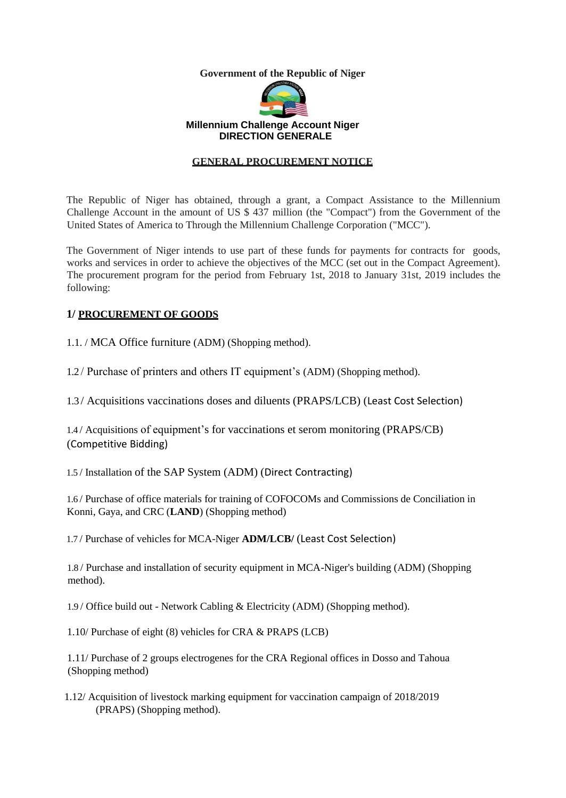**Government of the Republic of Niger**



#### **Millennium Challenge Account Niger DIRECTION GENERALE**

#### **GENERAL PROCUREMENT NOTICE**

The Republic of Niger has obtained, through a grant, a Compact Assistance to the Millennium Challenge Account in the amount of US \$ 437 million (the "Compact") from the Government of the United States of America to Through the Millennium Challenge Corporation ("MCC").

The Government of Niger intends to use part of these funds for payments for contracts for goods, works and services in order to achieve the objectives of the MCC (set out in the Compact Agreement). The procurement program for the period from February 1st, 2018 to January 31st, 2019 includes the following:

#### **1/ PROCUREMENT OF GOODS**

1.1. / MCA Office furniture (ADM) (Shopping method).

1.2 / Purchase of printers and others IT equipment's (ADM) (Shopping method).

1.3 / Acquisitions vaccinations doses and diluents (PRAPS/LCB) (Least Cost Selection)

1.4 / Acquisitions of equipment's for vaccinations et serom monitoring (PRAPS/CB) (Competitive Bidding)

1.5 / Installation of the SAP System (ADM) (Direct Contracting)

1.6 / Purchase of office materials for training of COFOCOMs and Commissions de Conciliation in Konni, Gaya, and CRC (**LAND**) (Shopping method)

1.7 / Purchase of vehicles for MCA-Niger **ADM/LCB/** (Least Cost Selection)

1.8 / Purchase and installation of security equipment in MCA-Niger's building (ADM) (Shopping method).

1.9 / Office build out - Network Cabling & Electricity (ADM) (Shopping method).

1.10/ Purchase of eight (8) vehicles for CRA & PRAPS (LCB)

1.11/ Purchase of 2 groups electrogenes for the CRA Regional offices in Dosso and Tahoua (Shopping method)

1.12/ Acquisition of livestock marking equipment for vaccination campaign of 2018/2019 (PRAPS) (Shopping method).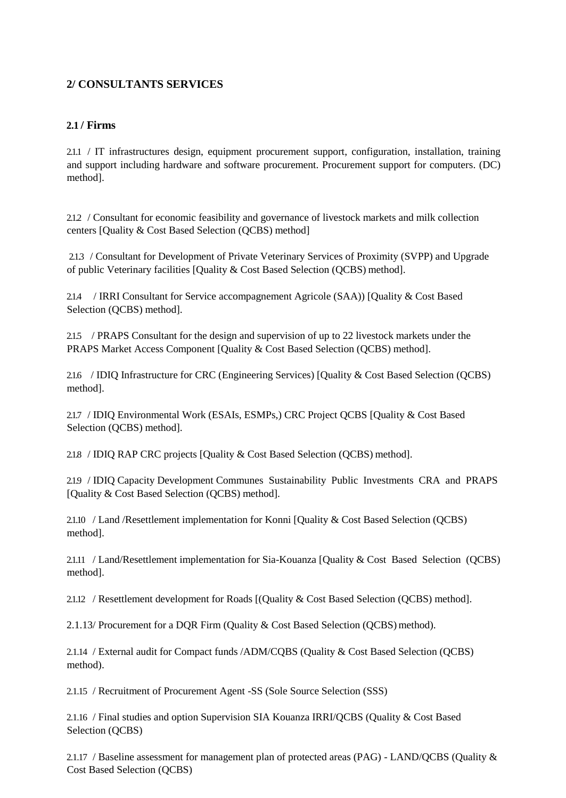# **2/ CONSULTANTS SERVICES**

#### **2.1 / Firms**

2.1.1 / IT infrastructures design, equipment procurement support, configuration, installation, training and support including hardware and software procurement. Procurement support for computers. (DC) method].

2.1.2 / Consultant for economic feasibility and governance of livestock markets and milk collection centers [Quality & Cost Based Selection (QCBS) method]

2.1.3 / Consultant for Development of Private Veterinary Services of Proximity (SVPP) and Upgrade of public Veterinary facilities [Quality & Cost Based Selection (QCBS) method].

2.14 / IRRI Consultant for Service accompagnement Agricole (SAA)) [Quality & Cost Based Selection (QCBS) method].

2.1.5 / PRAPS Consultant for the design and supervision of up to 22 livestock markets under the PRAPS Market Access Component [Quality & Cost Based Selection (QCBS) method].

2.1.6 / IDIQ Infrastructure for CRC (Engineering Services) [Quality & Cost Based Selection (QCBS) method].

2.1.7 / IDIQ Environmental Work (ESAIs, ESMPs,) CRC Project QCBS [Quality & Cost Based Selection (QCBS) method].

2.1.8 / IDIQ RAP CRC projects [Quality & Cost Based Selection (QCBS) method].

2.1.9 / IDIQ Capacity Development Communes Sustainability Public Investments CRA and PRAPS [Quality & Cost Based Selection (QCBS) method].

2.1.10 / Land /Resettlement implementation for Konni [Quality & Cost Based Selection (QCBS) method].

2.1.11 / Land/Resettlement implementation for Sia-Kouanza [Quality & Cost Based Selection (QCBS) method].

2.1.12 / Resettlement development for Roads [(Quality & Cost Based Selection (QCBS) method].

2.1.13/ Procurement for a DQR Firm (Quality & Cost Based Selection (QCBS) method).

2.1.14 / External audit for Compact funds /ADM/CQBS (Quality & Cost Based Selection (QCBS) method).

2.1.15 / Recruitment of Procurement Agent -SS (Sole Source Selection (SSS)

2.1.16 / Final studies and option Supervision SIA Kouanza IRRI/QCBS (Quality & Cost Based Selection (QCBS)

2.1.17 / Baseline assessment for management plan of protected areas (PAG) - LAND/QCBS (Quality & Cost Based Selection (QCBS)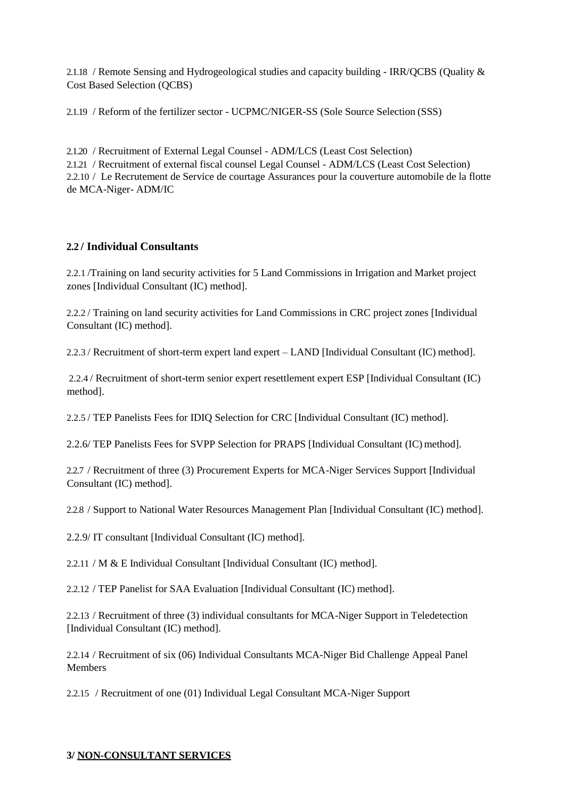2.1.18 / Remote Sensing and Hydrogeological studies and capacity building - IRR/QCBS (Quality & Cost Based Selection (QCBS)

2.1.19 / Reform of the fertilizer sector - UCPMC/NIGER-SS (Sole Source Selection (SSS)

2.1.20 / Recruitment of External Legal Counsel - ADM/LCS (Least Cost Selection) 2.1.21 / Recruitment of external fiscal counsel Legal Counsel - ADM/LCS (Least Cost Selection) 2.2.10 / Le Recrutement de Service de courtage Assurances pour la couverture automobile de la flotte de MCA-Niger- ADM/IC

## **2.2 / Individual Consultants**

2.2.1 /Training on land security activities for 5 Land Commissions in Irrigation and Market project zones [Individual Consultant (IC) method].

2.2.2 / Training on land security activities for Land Commissions in CRC project zones [Individual Consultant (IC) method].

2.2.3 / Recruitment of short-term expert land expert – LAND [Individual Consultant (IC) method].

2.2.4 / Recruitment of short-term senior expert resettlement expert ESP [Individual Consultant (IC) method].

2.2.5 / TEP Panelists Fees for IDIQ Selection for CRC [Individual Consultant (IC) method].

2.2.6/ TEP Panelists Fees for SVPP Selection for PRAPS [Individual Consultant (IC) method].

2.2.7 / Recruitment of three (3) Procurement Experts for MCA-Niger Services Support [Individual Consultant (IC) method].

2.2.8 / Support to National Water Resources Management Plan [Individual Consultant (IC) method].

2.2.9/ IT consultant [Individual Consultant (IC) method].

2.2.11 / M & E Individual Consultant [Individual Consultant (IC) method].

2.2.12 / TEP Panelist for SAA Evaluation [Individual Consultant (IC) method].

2.2.13 / Recruitment of three (3) individual consultants for MCA-Niger Support in Teledetection [Individual Consultant (IC) method].

2.2.14 / Recruitment of six (06) Individual Consultants MCA-Niger Bid Challenge Appeal Panel Members

2.2.15 / Recruitment of one (01) Individual Legal Consultant MCA-Niger Support

#### **3/ NON-CONSULTANT SERVICES**